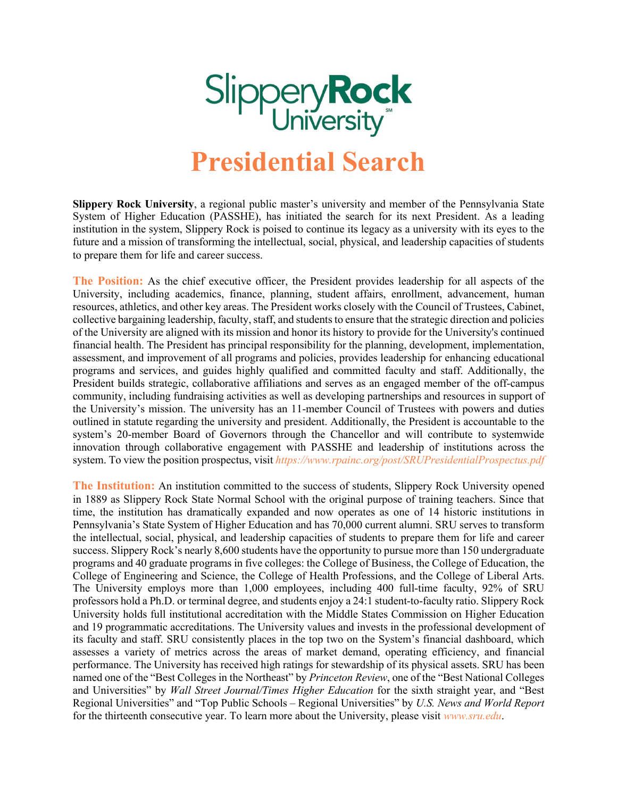

## **Presidential Search**

**Slippery Rock University**, a regional public master's university and member of the Pennsylvania State System of Higher Education (PASSHE), has initiated the search for its next President. As a leading institution in the system, Slippery Rock is poised to continue its legacy as a university with its eyes to the future and a mission of transforming the intellectual, social, physical, and leadership capacities of students to prepare them for life and career success.

**The Position:** As the chief executive officer, the President provides leadership for all aspects of the University, including academics, finance, planning, student affairs, enrollment, advancement, human resources, athletics, and other key areas. The President works closely with the Council of Trustees, Cabinet, collective bargaining leadership, faculty, staff, and students to ensure that the strategic direction and policies of the University are aligned with its mission and honor its history to provide for the University's continued financial health. The President has principal responsibility for the planning, development, implementation, assessment, and improvement of all programs and policies, provides leadership for enhancing educational programs and services, and guides highly qualified and committed faculty and staff. Additionally, the President builds strategic, collaborative affiliations and serves as an engaged member of the off-campus community, including fundraising activities as well as developing partnerships and resources in support of the University's mission. The university has an 11-member Council of Trustees with powers and duties outlined in statute regarding the university and president. Additionally, the President is accountable to the system's 20-member Board of Governors through the Chancellor and will contribute to systemwide innovation through collaborative engagement with PASSHE and leadership of institutions across the system. To view the position prospectus, visit *https://www.rpainc.org/post/SRUPresidentialProspectus.pdf*

**The Institution:** An institution committed to the success of students, Slippery Rock University opened in 1889 as Slippery Rock State Normal School with the original purpose of training teachers. Since that time, the institution has dramatically expanded and now operates as one of 14 historic institutions in Pennsylvania's State System of Higher Education and has 70,000 current alumni. SRU serves to transform the intellectual, social, physical, and leadership capacities of students to prepare them for life and career success. Slippery Rock's nearly 8,600 students have the opportunity to pursue more than 150 undergraduate programs and 40 graduate programs in five colleges: the College of Business, the College of Education, the College of Engineering and Science, the College of Health Professions, and the College of Liberal Arts. The University employs more than 1,000 employees, including 400 full-time faculty, 92% of SRU professors hold a Ph.D. or terminal degree, and students enjoy a 24:1 student-to-faculty ratio. Slippery Rock University holds full institutional accreditation with the Middle States Commission on Higher Education and 19 programmatic accreditations. The University values and invests in the professional development of its faculty and staff. SRU consistently places in the top two on the System's financial dashboard, which assesses a variety of metrics across the areas of market demand, operating efficiency, and financial performance. The University has received high ratings for stewardship of its physical assets. SRU has been named one of the "Best Colleges in the Northeast" by *Princeton Review*, one of the "Best National Colleges and Universities" by *Wall Street Journal/Times Higher Education* for the sixth straight year, and "Best Regional Universities" and "Top Public Schools – Regional Universities" by *U.S. News and World Report* for the thirteenth consecutive year. To learn more about the University, please visit *www.sru.edu*.